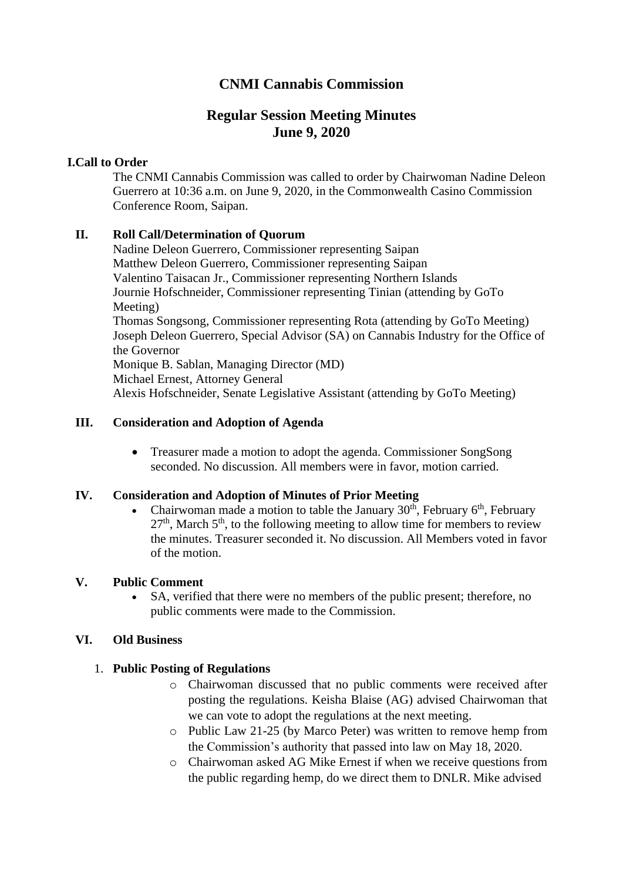# **CNMI Cannabis Commission**

# **Regular Session Meeting Minutes June 9, 2020**

# **I.Call to Order**

The CNMI Cannabis Commission was called to order by Chairwoman Nadine Deleon Guerrero at 10:36 a.m. on June 9, 2020, in the Commonwealth Casino Commission Conference Room, Saipan.

# **II. Roll Call/Determination of Quorum**

Nadine Deleon Guerrero, Commissioner representing Saipan Matthew Deleon Guerrero, Commissioner representing Saipan Valentino Taisacan Jr., Commissioner representing Northern Islands Journie Hofschneider, Commissioner representing Tinian (attending by GoTo Meeting) Thomas Songsong, Commissioner representing Rota (attending by GoTo Meeting) Joseph Deleon Guerrero, Special Advisor (SA) on Cannabis Industry for the Office of the Governor Monique B. Sablan, Managing Director (MD) Michael Ernest, Attorney General Alexis Hofschneider, Senate Legislative Assistant (attending by GoTo Meeting)

### **III. Consideration and Adoption of Agenda**

• Treasurer made a motion to adopt the agenda. Commissioner SongSong seconded. No discussion. All members were in favor, motion carried.

### **IV. Consideration and Adoption of Minutes of Prior Meeting**

Chairwoman made a motion to table the January  $30<sup>th</sup>$ , February 6<sup>th</sup>, February  $27<sup>th</sup>$ , March  $5<sup>th</sup>$ , to the following meeting to allow time for members to review the minutes. Treasurer seconded it. No discussion. All Members voted in favor of the motion.

### **V. Public Comment**

SA, verified that there were no members of the public present; therefore, no public comments were made to the Commission.

### **VI. Old Business**

# 1. **Public Posting of Regulations**

- o Chairwoman discussed that no public comments were received after posting the regulations. Keisha Blaise (AG) advised Chairwoman that we can vote to adopt the regulations at the next meeting.
- o Public Law 21-25 (by Marco Peter) was written to remove hemp from the Commission's authority that passed into law on May 18, 2020.
- o Chairwoman asked AG Mike Ernest if when we receive questions from the public regarding hemp, do we direct them to DNLR. Mike advised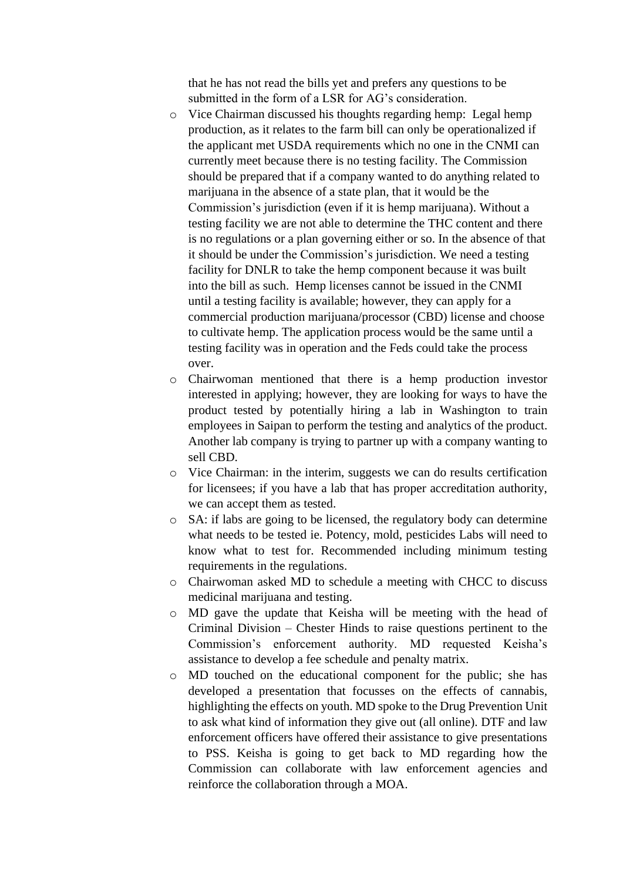that he has not read the bills yet and prefers any questions to be submitted in the form of a LSR for AG's consideration.

- o Vice Chairman discussed his thoughts regarding hemp: Legal hemp production, as it relates to the farm bill can only be operationalized if the applicant met USDA requirements which no one in the CNMI can currently meet because there is no testing facility. The Commission should be prepared that if a company wanted to do anything related to marijuana in the absence of a state plan, that it would be the Commission's jurisdiction (even if it is hemp marijuana). Without a testing facility we are not able to determine the THC content and there is no regulations or a plan governing either or so. In the absence of that it should be under the Commission's jurisdiction. We need a testing facility for DNLR to take the hemp component because it was built into the bill as such. Hemp licenses cannot be issued in the CNMI until a testing facility is available; however, they can apply for a commercial production marijuana/processor (CBD) license and choose to cultivate hemp. The application process would be the same until a testing facility was in operation and the Feds could take the process over.
- o Chairwoman mentioned that there is a hemp production investor interested in applying; however, they are looking for ways to have the product tested by potentially hiring a lab in Washington to train employees in Saipan to perform the testing and analytics of the product. Another lab company is trying to partner up with a company wanting to sell CBD.
- o Vice Chairman: in the interim, suggests we can do results certification for licensees; if you have a lab that has proper accreditation authority, we can accept them as tested.
- o SA: if labs are going to be licensed, the regulatory body can determine what needs to be tested ie. Potency, mold, pesticides Labs will need to know what to test for. Recommended including minimum testing requirements in the regulations.
- o Chairwoman asked MD to schedule a meeting with CHCC to discuss medicinal marijuana and testing.
- o MD gave the update that Keisha will be meeting with the head of Criminal Division – Chester Hinds to raise questions pertinent to the Commission's enforcement authority. MD requested Keisha's assistance to develop a fee schedule and penalty matrix.
- o MD touched on the educational component for the public; she has developed a presentation that focusses on the effects of cannabis, highlighting the effects on youth. MD spoke to the Drug Prevention Unit to ask what kind of information they give out (all online). DTF and law enforcement officers have offered their assistance to give presentations to PSS. Keisha is going to get back to MD regarding how the Commission can collaborate with law enforcement agencies and reinforce the collaboration through a MOA.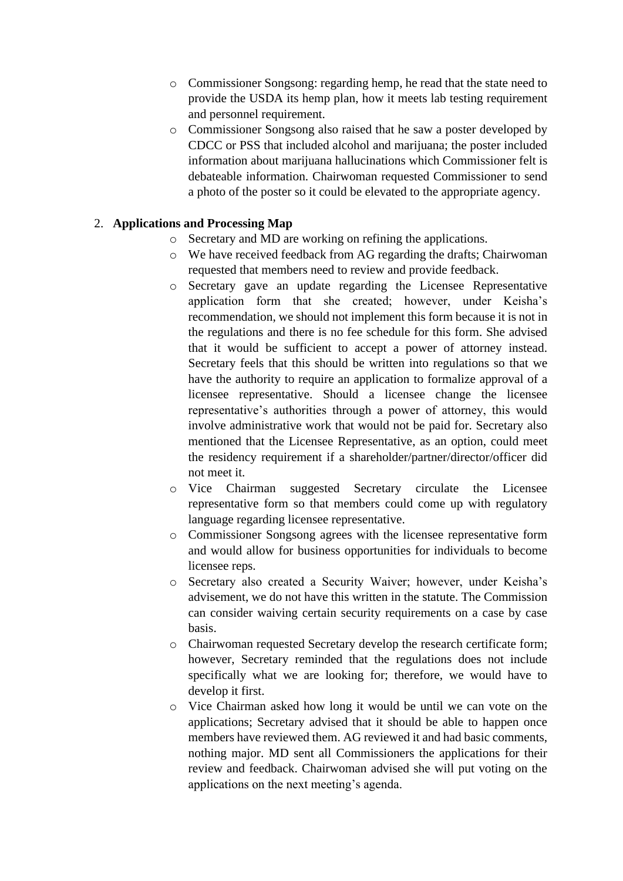- o Commissioner Songsong: regarding hemp, he read that the state need to provide the USDA its hemp plan, how it meets lab testing requirement and personnel requirement.
- o Commissioner Songsong also raised that he saw a poster developed by CDCC or PSS that included alcohol and marijuana; the poster included information about marijuana hallucinations which Commissioner felt is debateable information. Chairwoman requested Commissioner to send a photo of the poster so it could be elevated to the appropriate agency.

# 2. **Applications and Processing Map**

- o Secretary and MD are working on refining the applications.
- o We have received feedback from AG regarding the drafts; Chairwoman requested that members need to review and provide feedback.
- o Secretary gave an update regarding the Licensee Representative application form that she created; however, under Keisha's recommendation, we should not implement this form because it is not in the regulations and there is no fee schedule for this form. She advised that it would be sufficient to accept a power of attorney instead. Secretary feels that this should be written into regulations so that we have the authority to require an application to formalize approval of a licensee representative. Should a licensee change the licensee representative's authorities through a power of attorney, this would involve administrative work that would not be paid for. Secretary also mentioned that the Licensee Representative, as an option, could meet the residency requirement if a shareholder/partner/director/officer did not meet it.
- o Vice Chairman suggested Secretary circulate the Licensee representative form so that members could come up with regulatory language regarding licensee representative.
- o Commissioner Songsong agrees with the licensee representative form and would allow for business opportunities for individuals to become licensee reps.
- o Secretary also created a Security Waiver; however, under Keisha's advisement, we do not have this written in the statute. The Commission can consider waiving certain security requirements on a case by case basis.
- o Chairwoman requested Secretary develop the research certificate form; however, Secretary reminded that the regulations does not include specifically what we are looking for; therefore, we would have to develop it first.
- o Vice Chairman asked how long it would be until we can vote on the applications; Secretary advised that it should be able to happen once members have reviewed them. AG reviewed it and had basic comments, nothing major. MD sent all Commissioners the applications for their review and feedback. Chairwoman advised she will put voting on the applications on the next meeting's agenda.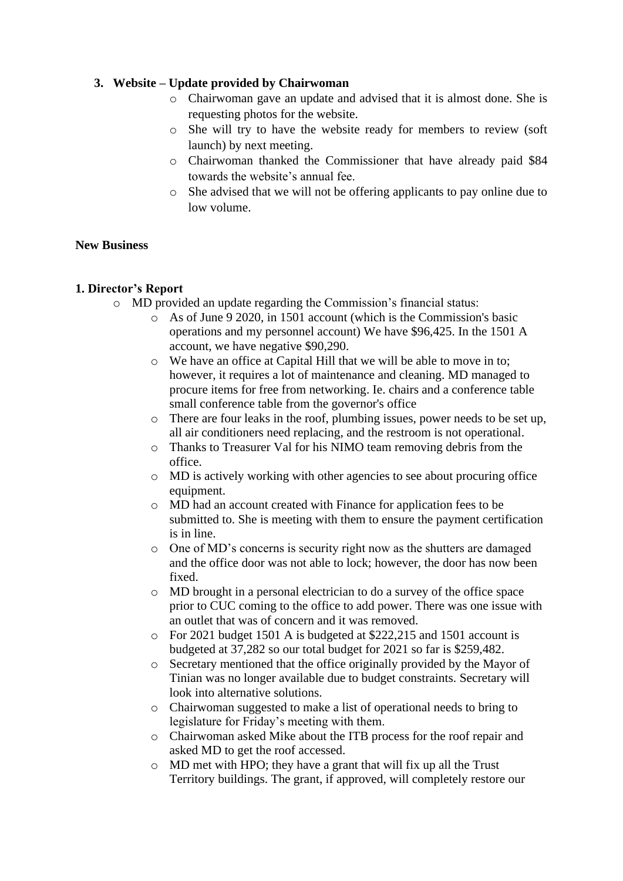# **3. Website – Update provided by Chairwoman**

- o Chairwoman gave an update and advised that it is almost done. She is requesting photos for the website.
- o She will try to have the website ready for members to review (soft launch) by next meeting.
- o Chairwoman thanked the Commissioner that have already paid \$84 towards the website's annual fee.
- o She advised that we will not be offering applicants to pay online due to low volume.

# **New Business**

# **1. Director's Report**

- o MD provided an update regarding the Commission's financial status:
	- o As of June 9 2020, in 1501 account (which is the Commission's basic operations and my personnel account) We have \$96,425. In the 1501 A account, we have negative \$90,290.
	- o We have an office at Capital Hill that we will be able to move in to; however, it requires a lot of maintenance and cleaning. MD managed to procure items for free from networking. Ie. chairs and a conference table small conference table from the governor's office
	- o There are four leaks in the roof, plumbing issues, power needs to be set up, all air conditioners need replacing, and the restroom is not operational.
	- o Thanks to Treasurer Val for his NIMO team removing debris from the office.
	- $\circ$  MD is actively working with other agencies to see about procuring office equipment.
	- o MD had an account created with Finance for application fees to be submitted to. She is meeting with them to ensure the payment certification is in line.
	- o One of MD's concerns is security right now as the shutters are damaged and the office door was not able to lock; however, the door has now been fixed.
	- o MD brought in a personal electrician to do a survey of the office space prior to CUC coming to the office to add power. There was one issue with an outlet that was of concern and it was removed.
	- o For 2021 budget 1501 A is budgeted at \$222,215 and 1501 account is budgeted at 37,282 so our total budget for 2021 so far is \$259,482.
	- o Secretary mentioned that the office originally provided by the Mayor of Tinian was no longer available due to budget constraints. Secretary will look into alternative solutions.
	- o Chairwoman suggested to make a list of operational needs to bring to legislature for Friday's meeting with them.
	- o Chairwoman asked Mike about the ITB process for the roof repair and asked MD to get the roof accessed.
	- o MD met with HPO; they have a grant that will fix up all the Trust Territory buildings. The grant, if approved, will completely restore our